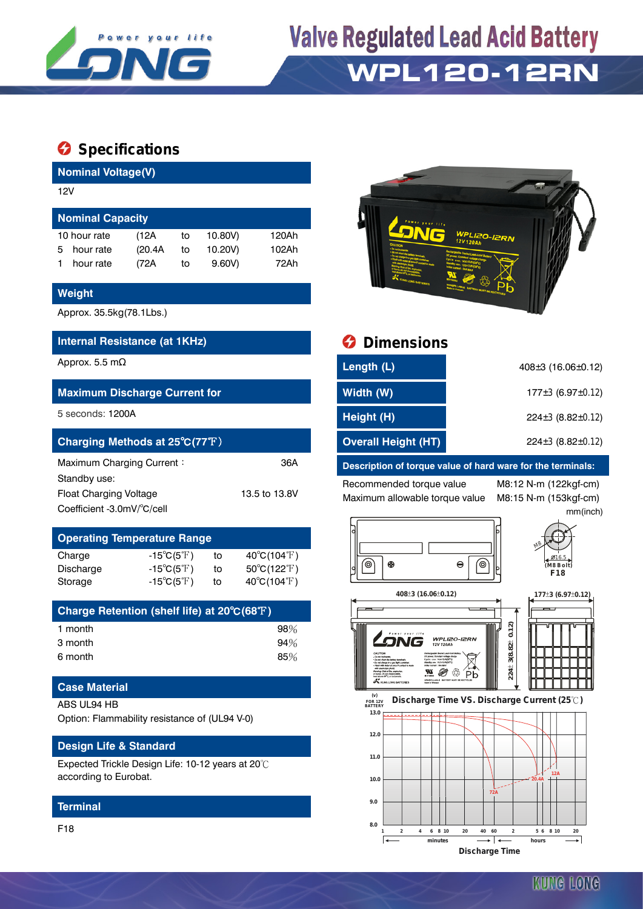

# **Valve Regulated Lead Acid Battery WPL120-12RN**

## $\bullet$  Specifications

| <b>Nominal Voltage(V)</b> |                     |    |         |       |  |  |  |
|---------------------------|---------------------|----|---------|-------|--|--|--|
|                           |                     |    |         |       |  |  |  |
| <b>Nominal Capacity</b>   |                     |    |         |       |  |  |  |
|                           | (12A                | to | 10.80V) | 120Ah |  |  |  |
| hour rate                 | (20.4A)             | to | 10.20V) | 102Ah |  |  |  |
| hour rate                 | (72A                | to | 9.60V   | 72Ah  |  |  |  |
|                           | 12V<br>10 hour rate |    |         |       |  |  |  |

#### **Weight**

Approx. 35.5kg(78.1Lbs.)

### **Internal Resistance (at 1KHz) Dimensions**

#### **Maximum Discharge Current for**

| Charging Methods at 25°C(77°F) |               |  |  |  |
|--------------------------------|---------------|--|--|--|
| Maximum Charging Current:      | 36A           |  |  |  |
| Standby use:                   |               |  |  |  |
| <b>Float Charging Voltage</b>  | 13.5 to 13.8V |  |  |  |
| Coefficient -3.0mV/°C/cell     |               |  |  |  |

# **Operating Temperature Range**

| Charge    | $-15^{\circ}C(5^{\circ}F)$ | to | $40^{\circ}$ C(104 $^{\circ}$ F) |
|-----------|----------------------------|----|----------------------------------|
| Discharge | $-15^{\circ}C(5^{\circ}F)$ | to | $50^{\circ}$ C(122 $^{\circ}$ F) |
| Storage   | $-15^{\circ}C(5^{\circ}F)$ | to | $40^{\circ}$ C(104 $^{\circ}$ F) |

| Charge Retention (shelf life) at 20°C(68°F) |     |
|---------------------------------------------|-----|
| 1 month                                     | 98% |
| 3 month                                     | 94% |
| 6 month                                     | 85% |

### **Case Material**

ABS UL94 HB

Option: Flammability resistance of (UL94 V-0)

#### **Design Life & Standard**

Expected Trickle Design Life: 10-12 years at 20℃ according to Eurobat.

#### **Terminal**

F18



| Approx. 5.5 mΩ                       | Length (L)                 | $408 \pm 3$ (16.06 $\pm$ 0.12) |
|--------------------------------------|----------------------------|--------------------------------|
| <b>Maximum Discharge Current for</b> | Width (W)                  | $177\pm3$ (6.97 $\pm$ 0.12)    |
| 5 seconds: 1200A                     | Height (H)                 | $224 \pm 3$ (8.82 $\pm$ 0.12)  |
| Charging Methods at 25°C(77°F)       | <b>Overall Height (HT)</b> | $224\pm3(8.82\pm0.12)$         |
|                                      |                            |                                |

#### **Description of torque value of hard ware for the terminals:**

Recommended torque value M8:12 N-m (122kgf-cm) Maximum allowable torque value M8:15 N-m (153kgf-cm)

mm(inch)





**408±3 (16.06±0.12)**  $177\pm3$  (6.97 $\pm$ 0.12)





 **FOR 12V BATTERY Discharge Time VS. Discharge Current (25 ℃)** 

**224** $\pm$  3(8.82 $\pm$  0.12)

224±3(8.82±0.12)